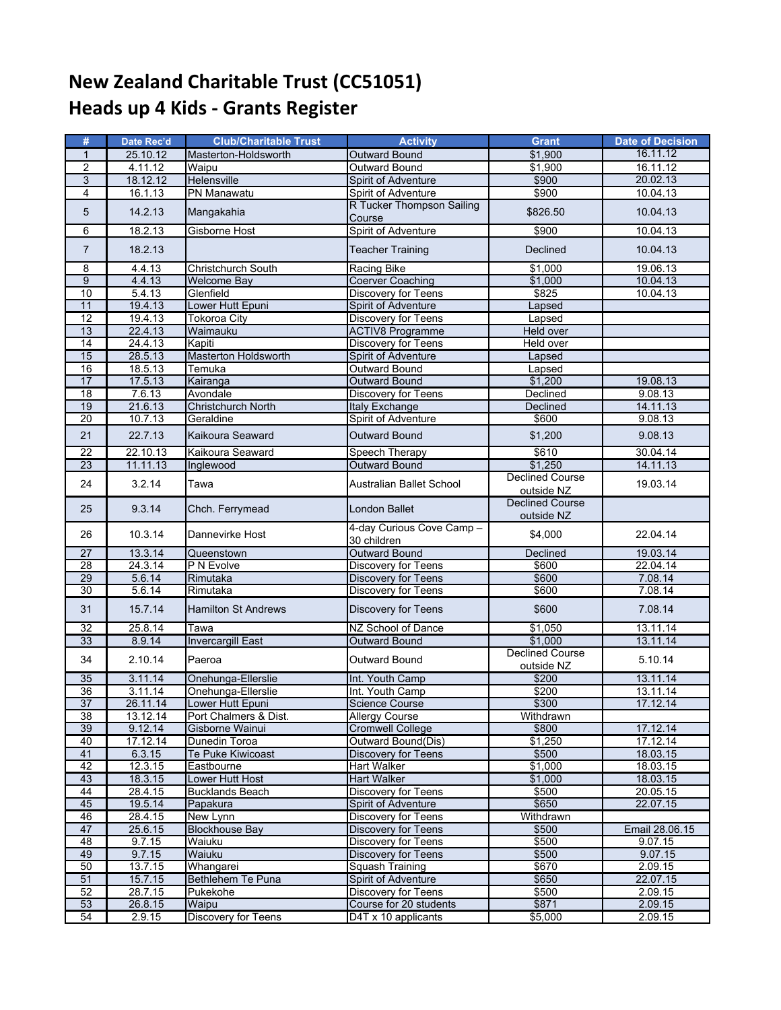## **New Zealand Charitable Trust (CC51051) Heads up 4 Kids ‐ Grants Register**

| #               | Date Rec'd | <b>Club/Charitable Trust</b> | <b>Activity</b>                          | <b>Grant</b>                         | <b>Date of Decision</b> |
|-----------------|------------|------------------------------|------------------------------------------|--------------------------------------|-------------------------|
| $\mathbf{1}$    | 25.10.12   | Masterton-Holdsworth         | <b>Outward Bound</b>                     | \$1,900                              | 16.11.12                |
| $\overline{2}$  | 4.11.12    | Waipu                        | <b>Outward Bound</b>                     | \$1.900                              | 16.11.12                |
| 3               | 18.12.12   | Helensville                  | Spirit of Adventure                      | \$900                                | 20.02.13                |
| $\overline{4}$  | 16.1.13    | PN Manawatu                  | Spirit of Adventure                      | \$900                                | 10.04.13                |
| 5               | 14.2.13    | Mangakahia                   | R Tucker Thompson Sailing<br>Course      | \$826.50                             | 10.04.13                |
| 6               | 18.2.13    | <b>Gisborne Host</b>         | Spirit of Adventure                      | \$900                                | 10.04.13                |
| $\overline{7}$  | 18.2.13    |                              | <b>Teacher Training</b>                  | <b>Declined</b>                      | 10.04.13                |
| 8               | 4.4.13     | Christchurch South           | Racing Bike                              | \$1.000                              | 19.06.13                |
| $\overline{9}$  | 4.4.13     | <b>Welcome Bay</b>           | <b>Coerver Coaching</b>                  | \$1,000                              | 10.04.13                |
| 10              | 5.4.13     | Glenfield                    | Discovery for Teens                      | \$825                                | 10.04.13                |
| 11              | 19.4.13    | Lower Hutt Epuni             | <b>Spirit of Adventure</b>               | Lapsed                               |                         |
| 12              | 19.4.13    | <b>Tokoroa City</b>          | <b>Discovery for Teens</b>               | Lapsed                               |                         |
| 13              | 22.4.13    | Waimauku                     | <b>ACTIV8 Programme</b>                  | Held over                            |                         |
| 14              | 24.4.13    | Kapiti                       | <b>Discovery for Teens</b>               | Held over                            |                         |
| 15              | 28.5.13    | <b>Masterton Holdsworth</b>  | <b>Spirit of Adventure</b>               | Lapsed                               |                         |
| 16              | 18.5.13    | Temuka                       | <b>Outward Bound</b>                     | Lapsed                               |                         |
| 17              | 17.5.13    | Kairanga                     | <b>Outward Bound</b>                     | \$1,200                              | 19.08.13                |
| $\overline{18}$ | 7.6.13     | Avondale                     | <b>Discovery for Teens</b>               | Declined                             | 9.08.13                 |
| 19              | 21.6.13    | Christchurch North           | <b>Italy Exchange</b>                    | Declined                             | 14.11.13                |
| $\overline{20}$ | 10.7.13    | Geraldine                    | Spirit of Adventure                      | \$600                                | 9.08.13                 |
| 21              | 22.7.13    | Kaikoura Seaward             | <b>Outward Bound</b>                     | \$1,200                              | 9.08.13                 |
| 22              | 22.10.13   | Kaikoura Seaward             | Speech Therapy                           | \$610                                | 30.04.14                |
| 23              | 11.11.13   | Inglewood                    | <b>Outward Bound</b>                     | \$1,250                              | 14.11.13                |
| 24              | 3.2.14     | Tawa                         | Australian Ballet School                 | <b>Declined Course</b><br>outside NZ | 19.03.14                |
| 25              | 9.3.14     | Chch. Ferrymead              | London Ballet                            | <b>Declined Course</b><br>outside NZ |                         |
| 26              | 10.3.14    | Dannevirke Host              | 4-day Curious Cove Camp -<br>30 children | \$4,000                              | 22.04.14                |
| $\overline{27}$ | 13.3.14    | Queenstown                   | <b>Outward Bound</b>                     | <b>Declined</b>                      | 19.03.14                |
| $\overline{28}$ | 24.3.14    | P N Evolve                   | <b>Discovery for Teens</b>               | \$600                                | 22.04.14                |
| 29              | 5.6.14     | Rimutaka                     | <b>Discovery for Teens</b>               | \$600                                | 7.08.14                 |
| 30              | 5.6.14     | Rimutaka                     | <b>Discovery for Teens</b>               | \$600                                | 7.08.14                 |
| 31              | 15.7.14    | <b>Hamilton St Andrews</b>   | <b>Discovery for Teens</b>               | \$600                                | 7.08.14                 |
| 32              | 25.8.14    | Tawa                         | NZ School of Dance                       | \$1,050                              | 13.11.14                |
| 33              | 8.9.14     | <b>Invercargill East</b>     | <b>Outward Bound</b>                     | \$1,000                              | 13.11.14                |
| 34              | 2.10.14    | Paeroa                       | Outward Bound                            | <b>Declined Course</b><br>outside NZ | 5.10.14                 |
| 35              | 3.11.14    | Onehunga-Ellerslie           | Int. Youth Camp                          | \$200                                | 13.11.14                |
| 36              | 3.11.14    | Onehunga-Ellerslie           | Int. Youth Camp                          | \$200                                | 13.11.14                |
| 37              | 26.11.14   | Lower Hutt Epuni             | <b>Science Course</b>                    | \$300                                | 17.12.14                |
| 38              | 13.12.14   | Port Chalmers & Dist.        | <b>Allergy Course</b>                    | Withdrawn                            |                         |
| 39              | 9.12.14    | Gisborne Wainui              | <b>Cromwell College</b>                  | \$800                                | 17.12.14                |
| 40              | 17.12.14   | Dunedin Toroa                | Outward Bound(Dis)                       | \$1.250                              | 17.12.14                |
| 41              | 6.3.15     | Te Puke Kiwicoast            | Discovery for Teens                      | \$500                                | 18.03.15                |
| 42              | 12.3.15    | Eastbourne                   | <b>Hart Walker</b>                       | \$1,000                              | 18.03.15                |
| 43              | 18.3.15    | Lower Hutt Host              | <b>Hart Walker</b>                       | \$1.000                              | 18.03.15                |
| 44              | 28.4.15    | <b>Bucklands Beach</b>       | Discovery for Teens                      | \$500                                | 20.05.15                |
| 45              | 19.5.14    | Papakura                     | <b>Spirit of Adventure</b>               | \$650                                | 22.07.15                |
| 46              | 28.4.15    | New Lynn                     | <b>Discovery for Teens</b>               | Withdrawn                            |                         |
| 47              | 25.6.15    | <b>Blockhouse Bay</b>        | <b>Discovery for Teens</b>               | \$500                                | Email 28.06.15          |
| 48              | 9.7.15     | Waiuku                       | <b>Discovery for Teens</b>               | \$500                                | 9.07.15                 |
| 49              | 9.7.15     | Waiuku                       | <b>Discovery for Teens</b>               | \$500                                | 9.07.15                 |
| 50              | 13.7.15    | Whangarei                    | Squash Training                          | \$670                                | 2.09.15                 |
| 51              | 15.7.15    | Bethlehem Te Puna            | Spirit of Adventure                      | \$650                                | 22.07.15                |
| 52              | 28.7.15    | Pukekohe                     | <b>Discovery for Teens</b>               | \$500                                | 2.09.15                 |
| 53              | 26.8.15    | Waipu                        | Course for 20 students                   | \$871                                | 2.09.15                 |
| 54              | 2.9.15     | Discovery for Teens          | D4T x 10 applicants                      | \$5,000                              | 2.09.15                 |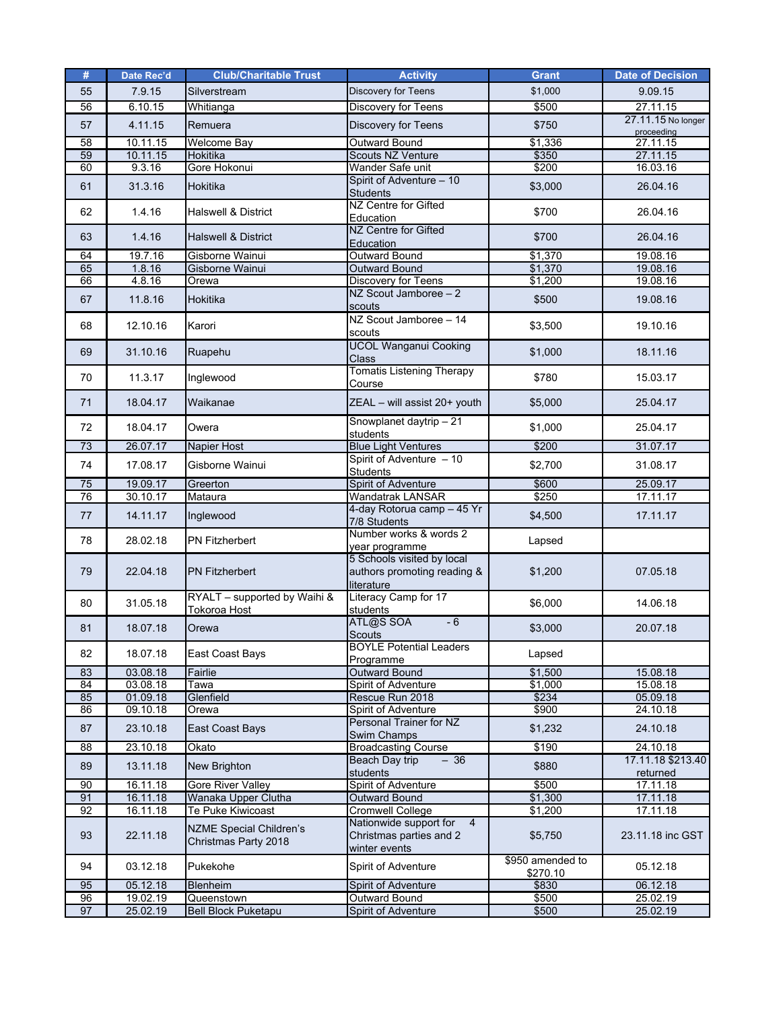| #        | Date Rec'd           | <b>Club/Charitable Trust</b>   | <b>Activity</b>                                  | <b>Grant</b>      | <b>Date of Decision</b> |
|----------|----------------------|--------------------------------|--------------------------------------------------|-------------------|-------------------------|
| 55       | 79.15                | Silverstream                   | Discovery for Teens                              | \$1,000           | 9.09.15                 |
| 56       | 6.10.15              | Whitianga                      | <b>Discovery for Teens</b>                       | \$500             | 27.11.15                |
| 57       | 4.11.15              | Remuera                        |                                                  | \$750             | 27.11.15 No longer      |
|          |                      |                                | Discovery for Teens                              |                   | proceeding              |
| 58       | 10.11.15             | <b>Welcome Bay</b>             | <b>Outward Bound</b>                             | \$1,336           | 27.11.15                |
| 59       | 10.11.15             | <b>Hokitika</b>                | Scouts NZ Venture                                | \$350             | 27.11.15                |
| 60       | 9.3.16               | Gore Hokonui                   | Wander Safe unit                                 | \$200             | 16.03.16                |
| 61       | 31.3.16              | Hokitika                       | Spirit of Adventure - 10                         | \$3,000           | 26.04.16                |
|          |                      |                                | <b>Students</b><br>NZ Centre for Gifted          |                   |                         |
| 62       | 1.4.16               | <b>Halswell &amp; District</b> | Education                                        | \$700             | 26.04.16                |
|          |                      |                                | NZ Centre for Gifted                             |                   |                         |
| 63       | 1.4.16               | <b>Halswell &amp; District</b> | Education                                        | \$700             | 26.04.16                |
| 64       | 19.7.16              | Gisborne Wainui                | <b>Outward Bound</b>                             | \$1,370           | 19.08.16                |
| 65       | 1.8.16               | Gisborne Wainui                | <b>Outward Bound</b>                             | \$1,370           | 19.08.16                |
| 66       | 4.8.16               | Orewa                          | <b>Discovery for Teens</b>                       | \$1,200           | 19.08.16                |
| 67       | 11.8.16              | Hokitika                       | $NZ$ Scout Jamboree $-2$                         | \$500             | 19.08.16                |
|          |                      |                                | scouts                                           |                   |                         |
| 68       | 12.10.16             | Karori                         | NZ Scout Jamboree - 14                           | \$3,500           | 19.10.16                |
|          |                      |                                | scouts                                           |                   |                         |
| 69       | 31.10.16             | Ruapehu                        | <b>UCOL Wanganui Cooking</b><br>Class            | \$1,000           | 18.11.16                |
|          |                      |                                | Tomatis Listening Therapy                        |                   |                         |
| 70       | 11.3.17              | Inglewood                      | Course                                           | \$780             | 15.03.17                |
|          |                      |                                |                                                  |                   |                         |
| 71       | 18.04.17             | Waikanae                       | ZEAL - will assist 20+ youth                     | \$5,000           | 25.04.17                |
| 72       | 18.04.17             | Owera                          | Snowplanet daytrip - 21                          |                   | 25.04.17                |
|          |                      |                                | students                                         | \$1,000           |                         |
| 73       | 26.07.17             | <b>Napier Host</b>             | <b>Blue Light Ventures</b>                       | \$200             | 31.07.17                |
| 74       | 17.08.17             | Gisborne Wainui                | Spirit of Adventure - 10                         | \$2,700           | 31.08.17                |
|          |                      |                                | <b>Students</b>                                  |                   |                         |
| 75<br>76 | 19.09.17<br>30.10.17 | Greerton<br>Mataura            | <b>Spirit of Adventure</b><br>Wandatrak LANSAR   | \$600<br>\$250    | 25.09.17<br>17.11.17    |
|          |                      |                                | 4-day Rotorua camp - 45 Yr                       |                   |                         |
| 77       | 14.11.17             | Inglewood                      | 7/8 Students                                     | \$4,500           | 17.11.17                |
|          |                      |                                | Number works & words 2                           |                   |                         |
| 78       | 28.02.18             | PN Fitzherbert                 | year programme                                   | Lapsed            |                         |
|          |                      |                                | 5 Schools visited by local                       |                   |                         |
| 79       | 22.04.18             | <b>PN Fitzherbert</b>          | authors promoting reading &                      | \$1,200           | 07.05.18                |
|          |                      |                                | literature                                       |                   |                         |
| 80       | 31.05.18             | RYALT - supported by Waihi &   | Literacy Camp for 17                             | \$6,000           | 14.06.18                |
|          |                      | Tokoroa Host                   | students<br>ATL@S SOA<br>$-6$                    |                   |                         |
| 81       | 18.07.18             | Orewa                          | Scouts                                           | \$3,000           | 20.07.18                |
|          |                      |                                | <b>BOYLE Potential Leaders</b>                   |                   |                         |
| 82       | 18.07.18             | East Coast Bays                | Programme                                        | Lapsed            |                         |
| 83       | 03.08.18             | Fairlie                        | <b>Outward Bound</b>                             | \$1,500           | 15.08.18                |
| 84       | 03.08.18             | Tawa                           | Spirit of Adventure                              | \$1,000           | 15.08.18                |
| 85       | 01.09.18             | Glenfield                      | Rescue Run 2018                                  | \$234             | 05.09.18                |
| 86       | 09.10.18             | Orewa                          | Spirit of Adventure                              | \$900             | 24.10.18                |
| 87       | 23.10.18             | East Coast Bays                | Personal Trainer for NZ                          | \$1,232           | 24.10.18                |
|          |                      |                                | <b>Swim Champs</b><br><b>Broadcasting Course</b> | \$190             | 24.10.18                |
| 88       | 23.10.18             | Okato                          | $-36$<br>Beach Day trip                          |                   | 17.11.18 \$213.40       |
| 89       | 13.11.18             | New Brighton                   | students                                         | \$880             | returned                |
| 90       | 16.11.18             | Gore River Valley              | Spirit of Adventure                              | \$500             | 17.11.18                |
| 91       | 16.11.18             | Wanaka Upper Clutha            | <b>Outward Bound</b>                             | \$1,300           | 17.11.18                |
| 92       | 16.11.18             | Te Puke Kiwicoast              | Cromwell College                                 | \$1,200           | 17.11.18                |
|          |                      | <b>NZME Special Children's</b> | Nationwide support for<br>$\overline{4}$         |                   |                         |
| 93       | 22.11.18             | Christmas Party 2018           | Christmas parties and 2                          | \$5,750           | 23.11.18 inc GST        |
|          |                      |                                | winter events                                    |                   |                         |
| 94       | 03.12.18             | Pukekohe                       | Spirit of Adventure                              | \$950 amended to  | 05.12.18                |
| 95       | 05.12.18             |                                |                                                  | \$270.10<br>\$830 | 06.12.18                |
| 96       | 19.02.19             | Blenheim<br>Queenstown         | Spirit of Adventure<br><b>Outward Bound</b>      | \$500             | 25.02.19                |
| 97       | 25.02.19             | <b>Bell Block Puketapu</b>     | Spirit of Adventure                              | \$500             | 25.02.19                |
|          |                      |                                |                                                  |                   |                         |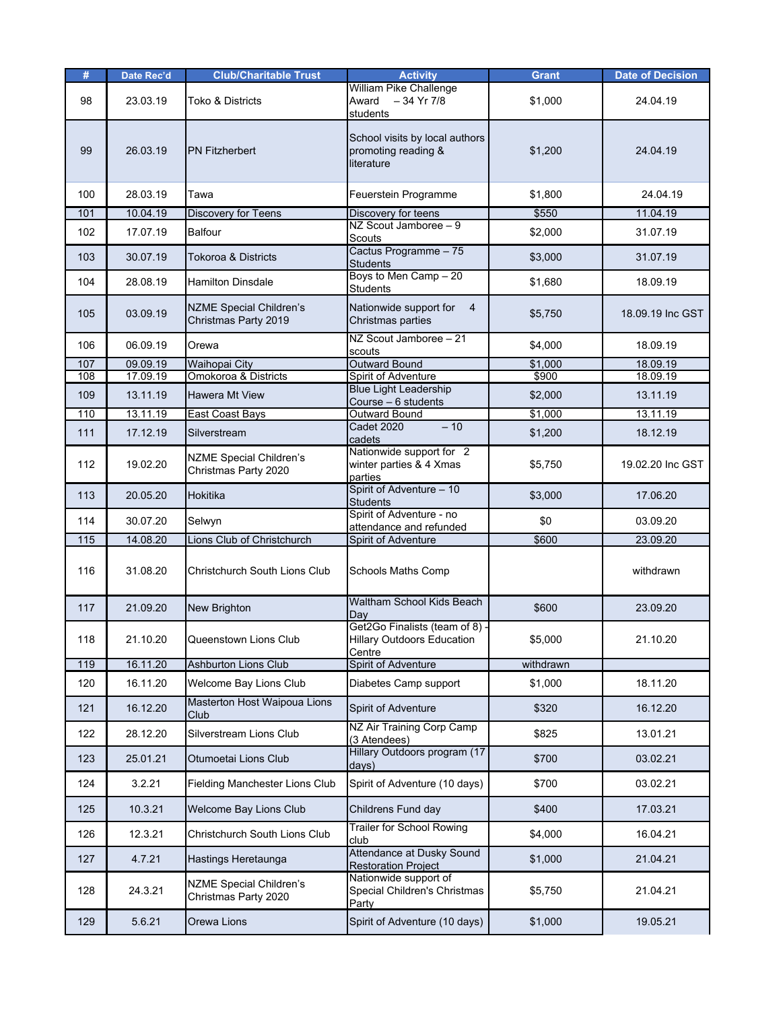| #   | Date Rec'd | <b>Club/Charitable Trust</b>                           | <b>Activity</b>                                                               | <b>Grant</b> | <b>Date of Decision</b> |
|-----|------------|--------------------------------------------------------|-------------------------------------------------------------------------------|--------------|-------------------------|
| 98  | 23.03.19   | Toko & Districts                                       | William Pike Challenge<br>$-34$ Yr 7/8<br>Award<br>students                   | \$1,000      | 24.04.19                |
| 99  | 26.03.19   | <b>PN Fitzherbert</b>                                  | School visits by local authors<br>promoting reading &<br>literature           | \$1,200      | 24.04.19                |
| 100 | 28.03.19   | Tawa                                                   | Feuerstein Programme                                                          | \$1,800      | 24.04.19                |
| 101 | 10.04.19   | <b>Discovery for Teens</b>                             | Discovery for teens                                                           | \$550        | 11.04.19                |
| 102 | 17.07.19   | <b>Balfour</b>                                         | NZ Scout Jamboree - 9<br>Scouts                                               | \$2,000      | 31.07.19                |
| 103 | 30.07.19   | <b>Tokoroa &amp; Districts</b>                         | Cactus Programme - 75<br><b>Students</b>                                      | \$3,000      | 31.07.19                |
| 104 | 28.08.19   | <b>Hamilton Dinsdale</b>                               | Boys to Men Camp - 20<br><b>Students</b>                                      | \$1,680      | 18.09.19                |
| 105 | 03.09.19   | <b>NZME Special Children's</b><br>Christmas Party 2019 | Nationwide support for<br>$\overline{4}$<br>Christmas parties                 | \$5,750      | 18.09.19 Inc GST        |
| 106 | 06.09.19   | Orewa                                                  | NZ Scout Jamboree - 21<br>scouts                                              | \$4,000      | 18.09.19                |
| 107 | 09.09.19   | <b>Waihopai City</b>                                   | <b>Outward Bound</b>                                                          | \$1,000      | 18.09.19                |
| 108 | 17.09.19   | Omokoroa & Districts                                   | Spirit of Adventure                                                           | \$900        | 18.09.19                |
| 109 | 13.11.19   | <b>Hawera Mt View</b>                                  | <b>Blue Light Leadership</b><br>Course - 6 students                           | \$2,000      | 13.11.19                |
| 110 | 13.11.19   | East Coast Bays                                        | <b>Outward Bound</b>                                                          | \$1,000      | 13.11.19                |
| 111 | 17.12.19   | Silverstream                                           | $-10$<br><b>Cadet 2020</b><br>cadets                                          | \$1,200      | 18.12.19                |
| 112 | 19.02.20   | <b>NZME Special Children's</b><br>Christmas Party 2020 | Nationwide support for 2<br>winter parties & 4 Xmas<br>parties                | \$5,750      | 19.02.20 Inc GST        |
| 113 | 20.05.20   | Hokitika                                               | Spirit of Adventure - 10<br><b>Students</b>                                   | \$3,000      | 17.06.20                |
| 114 | 30.07.20   | Selwyn                                                 | Spirit of Adventure - no<br>attendance and refunded                           | \$0          | 03.09.20                |
| 115 | 14.08.20   | Lions Club of Christchurch                             | Spirit of Adventure                                                           | \$600        | 23.09.20                |
| 116 | 31.08.20   | Christchurch South Lions Club                          | <b>Schools Maths Comp</b>                                                     |              | withdrawn               |
| 117 | 21.09.20   | New Brighton                                           | <b>Waltham School Kids Beach</b><br>Dav                                       | \$600        | 23.09.20                |
| 118 | 21.10.20   | Queenstown Lions Club                                  | Get2Go Finalists (team of 8) -<br><b>Hillary Outdoors Education</b><br>Centre | \$5,000      | 21.10.20                |
| 119 | 16.11.20   | <b>Ashburton Lions Club</b>                            | <b>Spirit of Adventure</b>                                                    | withdrawn    |                         |
| 120 | 16.11.20   | Welcome Bay Lions Club                                 | Diabetes Camp support                                                         | \$1,000      | 18.11.20                |
| 121 | 16.12.20   | Masterton Host Waipoua Lions<br>Club                   | Spirit of Adventure                                                           | \$320        | 16.12.20                |
| 122 | 28.12.20   | Silverstream Lions Club                                | NZ Air Training Corp Camp<br>(3 Atendees)                                     | \$825        | 13.01.21                |
| 123 | 25.01.21   | Otumoetai Lions Club                                   | Hillary Outdoors program (17<br>days)                                         | \$700        | 03.02.21                |
| 124 | 3.2.21     | Fielding Manchester Lions Club                         | Spirit of Adventure (10 days)                                                 | \$700        | 03.02.21                |
| 125 | 10.3.21    | Welcome Bay Lions Club                                 | Childrens Fund day                                                            | \$400        | 17.03.21                |
| 126 | 12.3.21    | Christchurch South Lions Club                          | Trailer for School Rowing<br>club                                             | \$4,000      | 16.04.21                |
| 127 | 4.7.21     | Hastings Heretaunga                                    | Attendance at Dusky Sound<br><b>Restoration Project</b>                       | \$1,000      | 21.04.21                |
| 128 | 24.3.21    | <b>NZME Special Children's</b><br>Christmas Party 2020 | Nationwide support of<br>Special Children's Christmas<br>Party                | \$5,750      | 21.04.21                |
| 129 | 5.6.21     | Orewa Lions                                            | Spirit of Adventure (10 days)                                                 | \$1,000      | 19.05.21                |